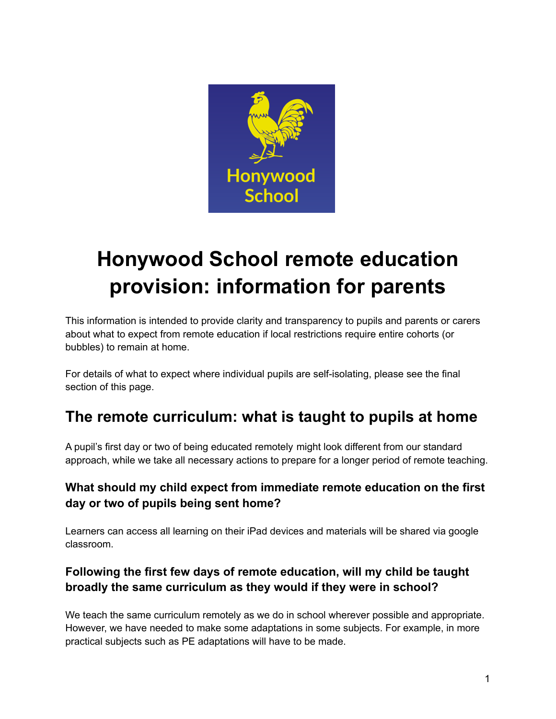

# **Honywood School remote education provision: information for parents**

This information is intended to provide clarity and transparency to pupils and parents or carers about what to expect from remote education if local restrictions require entire cohorts (or bubbles) to remain at home.

For details of what to expect where individual pupils are self-isolating, please see the final section of this page.

# **The remote curriculum: what is taught to pupils at home**

A pupil's first day or two of being educated remotely might look different from our standard approach, while we take all necessary actions to prepare for a longer period of remote teaching.

# **What should my child expect from immediate remote education on the first day or two of pupils being sent home?**

Learners can access all learning on their iPad devices and materials will be shared via google classroom.

# **Following the first few days of remote education, will my child be taught broadly the same curriculum as they would if they were in school?**

We teach the same curriculum remotely as we do in school wherever possible and appropriate. However, we have needed to make some adaptations in some subjects. For example, in more practical subjects such as PE adaptations will have to be made.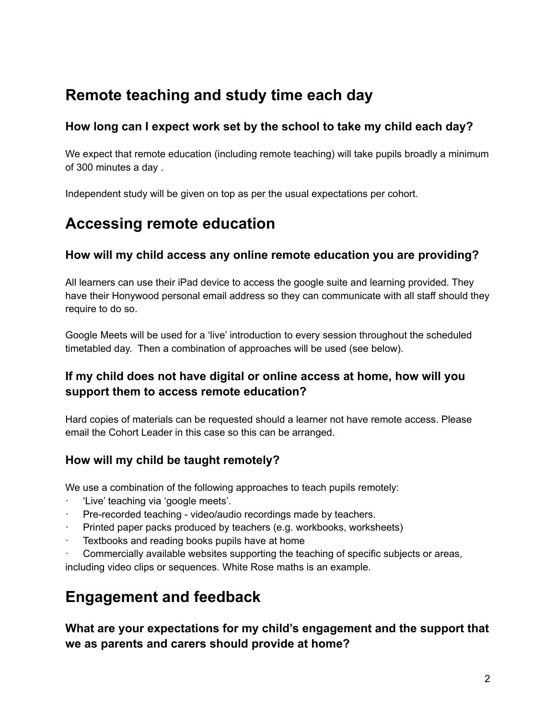# **Remote teaching and study time each day**

### **How long can I expect work set by the school to take my child each day?**

We expect that remote education (including remote teaching) will take pupils broadly a minimum of 300 minutes a day .

Independent study will be given on top as per the usual expectations per cohort.

# **Accessing remote education**

#### **How will my child access any online remote education you are providing?**

All learners can use their iPad device to access the google suite and learning provided. They have their Honywood personal email address so they can communicate with all staff should they require to do so.

Google Meets will be used for a 'live' introduction to every session throughout the scheduled timetabled day. Then a combination of approaches will be used (see below).

### **If my child does not have digital or online access at home, how will you support them to access remote education?**

Hard copies of materials can be requested should a learner not have remote access. Please email the Cohort Leader in this case so this can be arranged.

### **How will my child be taught remotely?**

We use a combination of the following approaches to teach pupils remotely:

- · 'Live' teaching via 'google meets'.
- Pre-recorded teaching video/audio recordings made by teachers.
- Printed paper packs produced by teachers (e.g. workbooks, worksheets)
- Textbooks and reading books pupils have at home
- Commercially available websites supporting the teaching of specific subjects or areas, including video clips or sequences. White Rose maths is an example.

# **Engagement and feedback**

**What are your expectations for my child's engagement and the support that we as parents and carers should provide at home?**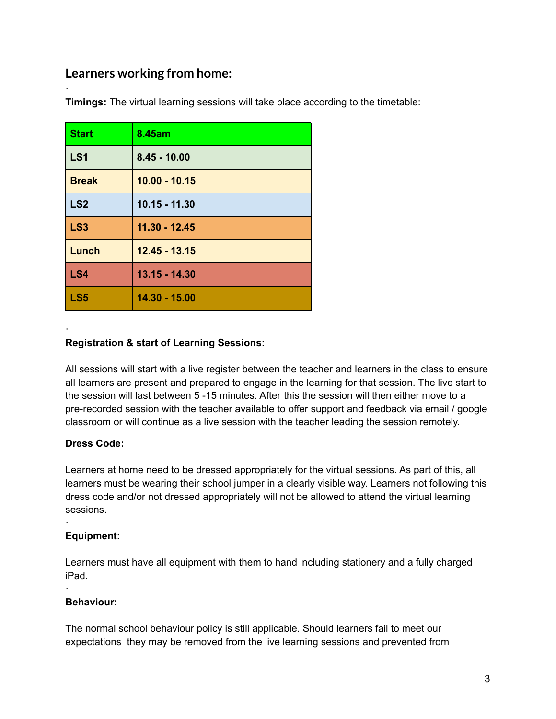# **Learners working from home:**

·

·

| <b>Start</b>    | 8.45am          |
|-----------------|-----------------|
| LS <sub>1</sub> | $8.45 - 10.00$  |
| <b>Break</b>    | $10.00 - 10.15$ |
| LS <sub>2</sub> | $10.15 - 11.30$ |
| LS <sub>3</sub> | 11.30 - 12.45   |
| Lunch           | $12.45 - 13.15$ |
| LS4             | $13.15 - 14.30$ |
| LS5             | 14.30 - 15.00   |

**Timings:** The virtual learning sessions will take place according to the timetable:

#### **Registration & start of Learning Sessions:**

All sessions will start with a live register between the teacher and learners in the class to ensure all learners are present and prepared to engage in the learning for that session. The live start to the session will last between 5 -15 minutes. After this the session will then either move to a pre-recorded session with the teacher available to offer support and feedback via email / google classroom or will continue as a live session with the teacher leading the session remotely.

#### **Dress Code:**

Learners at home need to be dressed appropriately for the virtual sessions. As part of this, all learners must be wearing their school jumper in a clearly visible way. Learners not following this dress code and/or not dressed appropriately will not be allowed to attend the virtual learning sessions.

#### **Equipment:**

·

·

Learners must have all equipment with them to hand including stationery and a fully charged iPad.

#### **Behaviour:**

The normal school behaviour policy is still applicable. Should learners fail to meet our expectations they may be removed from the live learning sessions and prevented from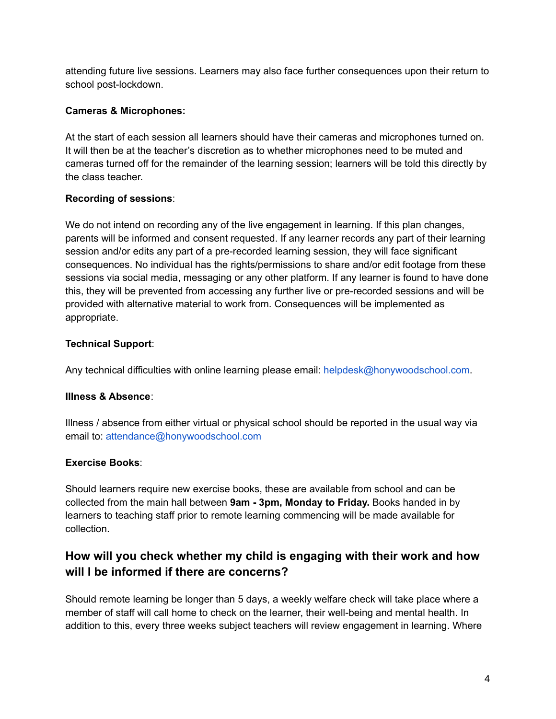attending future live sessions. Learners may also face further consequences upon their return to school post-lockdown.

#### **Cameras & Microphones:**

At the start of each session all learners should have their cameras and microphones turned on. It will then be at the teacher's discretion as to whether microphones need to be muted and cameras turned off for the remainder of the learning session; learners will be told this directly by the class teacher.

#### **Recording of sessions**:

We do not intend on recording any of the live engagement in learning. If this plan changes, parents will be informed and consent requested. If any learner records any part of their learning session and/or edits any part of a pre-recorded learning session, they will face significant consequences. No individual has the rights/permissions to share and/or edit footage from these sessions via social media, messaging or any other platform. If any learner is found to have done this, they will be prevented from accessing any further live or pre-recorded sessions and will be provided with alternative material to work from. Consequences will be implemented as appropriate.

#### **Technical Support**:

Any technical difficulties with online learning please email: helpdesk@honywoodschool.com.

#### **Illness & Absence**:

Illness / absence from either virtual or physical school should be reported in the usual way via email to: attendance@honywoodschool.com

#### **Exercise Books**:

Should learners require new exercise books, these are available from school and can be collected from the main hall between **9am - 3pm, Monday to Friday.** Books handed in by learners to teaching staff prior to remote learning commencing will be made available for collection.

### **How will you check whether my child is engaging with their work and how will I be informed if there are concerns?**

Should remote learning be longer than 5 days, a weekly welfare check will take place where a member of staff will call home to check on the learner, their well-being and mental health. In addition to this, every three weeks subject teachers will review engagement in learning. Where